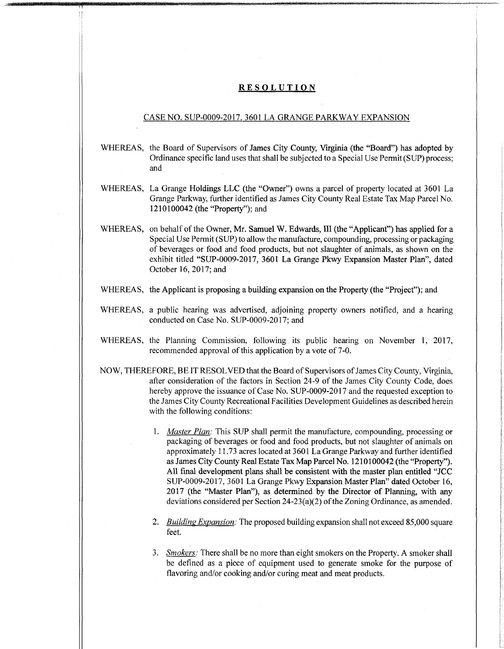## RESOLUTION

## CASE NO. SUP-0009-2017. 3601 LA GRANGE PARKWAY EXPANSION

- WHEREAS, the Board of Supervisors of James City County, Virginia (the "Board") has adopted by Ordinance specific land uses that shall be subjected to a Special Use Permit (SUP) process; and
- WHEREAS, La Grange Holdings LLC (the "Owner") owns a parcel of property located at 3601 La Grange Parkway, further identified as James City County Real Estate Tax Map Parcel No. 1210100042 (the "Property"); and
- WHEREAS, on behalf of the Owner, Mr. Samuel W. Edwards, III (the "Applicant") has applied for a Special Use Permit (SUP) to allowthe manufacture, compounding, processing or packaging of beverages or food and food products, but not slaughter of animals, as shown on the exhibit titled "SUP-0009-2017, 3601 La Grange Pkwy Expansion Master Plan", dated October 16, 2017; and
- WHEREAS, the Applicant is proposing a building expansion on the Property (the "Project"); and
- WHEREAS, a public hearing was advertised, adjoining property owners notified, and a hearing conducted on Case No. SUP-0009-2017; and
- WHEREAS, the Planning Commission, following its public hearing on November 1, 2017, recommended approval of this application by a vote of 7-0.
- NOW, THEREFORE, BE IT RESOLVED that the Board of Supervisors of James City County, Virginia, after consideration of the factors in Section 24-9 of the James City County Code, does hereby approve the issuance of Case No. SUP-0009-2017 and the requested exception to the James City County Recreational Facilities Development Guidelines as described herein with the following conditions:
	- *Master Plan:* This SUP shall permit the manufacture, compounding, processing or 1. packaging of beverages or food and food products, but not slaughter of animals on approximately 11.73 acres located at 3601 La Grange Parkway and further identified as James City County Real Estate Tax Map Parcel No. 1210100042 (the "Property"). All final development plans shall be consistent with the master plan entitled "JCC SUP-0009-2017, 3601 La Grange Pkwy Expansion Master Plan" dated October 16, 2017 (the "Master Plan"), as determined by the Director of Planning, with any deviations considered per Section  $24-23(a)(2)$  of the Zoning Ordinance, as amended.
	- *BuildingExpansion:* The proposed building expansion shall not exceed 85,000 square **2.** feet.
	- *Smokers:* There shall be no more than eight smokers on the Property. A smoker shall **3.**be defined as a piece of equipment used to generate smoke for the purpose of flavoring and/or cooking and/or curing meat and meat products.